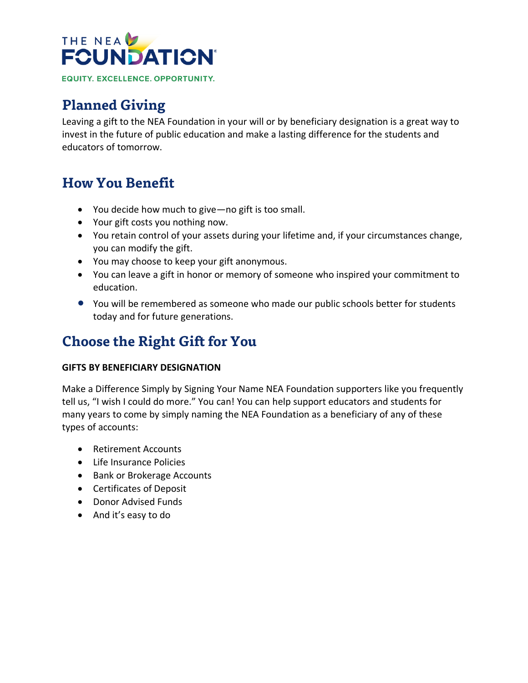

# **Planned Giving**

Leaving a gift to the NEA Foundation in your will or by beneficiary designation is a great way to invest in the future of public education and make a lasting difference for the students and educators of tomorrow.

## **How You Benefit**

- You decide how much to give—no gift is too small.
- Your gift costs you nothing now.
- You retain control of your assets during your lifetime and, if your circumstances change, you can modify the gift.
- You may choose to keep your gift anonymous.
- You can leave a gift in honor or memory of someone who inspired your commitment to education.
- You will be remembered as someone who made our public schools better for students today and for future generations.

# **Choose the Right Gift for You**

#### **GIFTS BY BENEFICIARY DESIGNATION**

Make a Difference Simply by Signing Your Name NEA Foundation supporters like you frequently tell us, "I wish I could do more." You can! You can help support educators and students for many years to come by simply naming the NEA Foundation as a beneficiary of any of these types of accounts:

- Retirement Accounts
- Life Insurance Policies
- Bank or Brokerage Accounts
- Certificates of Deposit
- Donor Advised Funds
- And it's easy to do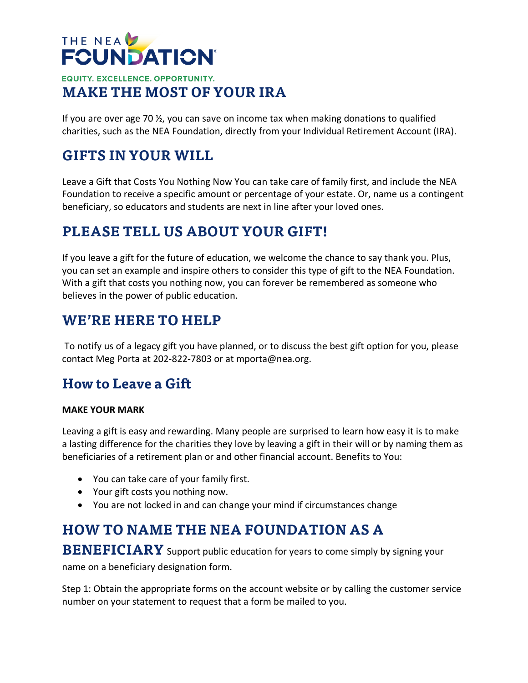## THE NEA **FCUNDATION® EQUITY. EXCELLENCE. OPPORTUNITY. MAKE THE MOST OF YOUR IRA**

If you are over age 70  $\frac{1}{2}$ , you can save on income tax when making donations to qualified charities, such as the NEA Foundation, directly from your Individual Retirement Account (IRA).

## **GIFTS IN YOUR WILL**

Leave a Gift that Costs You Nothing Now You can take care of family first, and include the NEA Foundation to receive a specific amount or percentage of your estate. Or, name us a contingent beneficiary, so educators and students are next in line after your loved ones.

# **PLEASE TELL US ABOUT YOUR GIFT!**

If you leave a gift for the future of education, we welcome the chance to say thank you. Plus, you can set an example and inspire others to consider this type of gift to the NEA Foundation. With a gift that costs you nothing now, you can forever be remembered as someone who believes in the power of public education.

#### **WE'RE HERE TO HELP**

To notify us of a legacy gift you have planned, or to discuss the best gift option for you, please contact Meg Porta at 202-822-7803 or at mporta@nea.org.

## **How to Leave a Gift**

#### **MAKE YOUR MARK**

Leaving a gift is easy and rewarding. Many people are surprised to learn how easy it is to make a lasting difference for the charities they love by leaving a gift in their will or by naming them as beneficiaries of a retirement plan or and other financial account. Benefits to You:

- You can take care of your family first.
- Your gift costs you nothing now.
- You are not locked in and can change your mind if circumstances change

## **HOW TO NAME THE NEA FOUNDATION AS A**

**BENEFICIARY** Support public education for years to come simply by signing your

name on a beneficiary designation form.

Step 1: Obtain the appropriate forms on the account website or by calling the customer service number on your statement to request that a form be mailed to you.